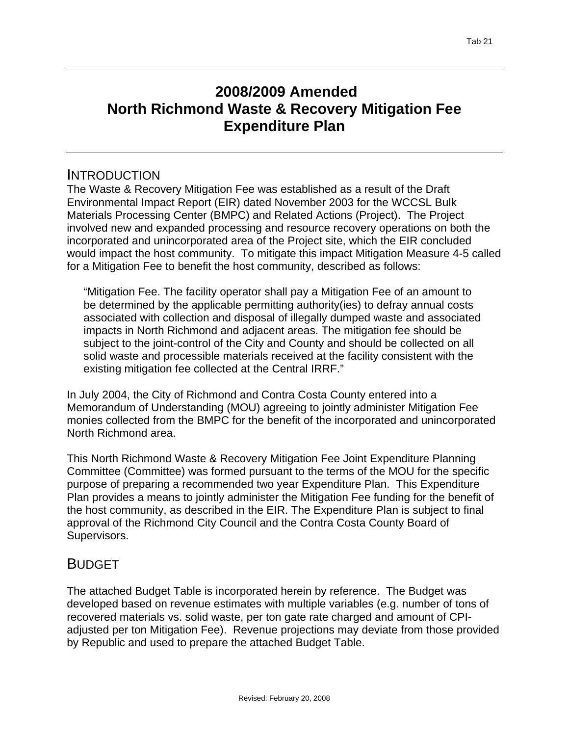# **2008/2009 Amended North Richmond Waste & Recovery Mitigation Fee Expenditure Plan**

### INTRODUCTION

The Waste & Recovery Mitigation Fee was established as a result of the Draft Environmental Impact Report (EIR) dated November 2003 for the WCCSL Bulk Materials Processing Center (BMPC) and Related Actions (Project). The Project involved new and expanded processing and resource recovery operations on both the incorporated and unincorporated area of the Project site, which the EIR concluded would impact the host community. To mitigate this impact Mitigation Measure 4-5 called for a Mitigation Fee to benefit the host community, described as follows:

"Mitigation Fee. The facility operator shall pay a Mitigation Fee of an amount to be determined by the applicable permitting authority(ies) to defray annual costs associated with collection and disposal of illegally dumped waste and associated impacts in North Richmond and adjacent areas. The mitigation fee should be subject to the joint-control of the City and County and should be collected on all solid waste and processible materials received at the facility consistent with the existing mitigation fee collected at the Central IRRF."

In July 2004, the City of Richmond and Contra Costa County entered into a Memorandum of Understanding (MOU) agreeing to jointly administer Mitigation Fee monies collected from the BMPC for the benefit of the incorporated and unincorporated North Richmond area.

This North Richmond Waste & Recovery Mitigation Fee Joint Expenditure Planning Committee (Committee) was formed pursuant to the terms of the MOU for the specific purpose of preparing a recommended two year Expenditure Plan. This Expenditure Plan provides a means to jointly administer the Mitigation Fee funding for the benefit of the host community, as described in the EIR. The Expenditure Plan is subject to final approval of the Richmond City Council and the Contra Costa County Board of Supervisors.

## **BUDGET**

The attached Budget Table is incorporated herein by reference. The Budget was developed based on revenue estimates with multiple variables (e.g. number of tons of recovered materials vs. solid waste, per ton gate rate charged and amount of CPIadjusted per ton Mitigation Fee). Revenue projections may deviate from those provided by Republic and used to prepare the attached Budget Table.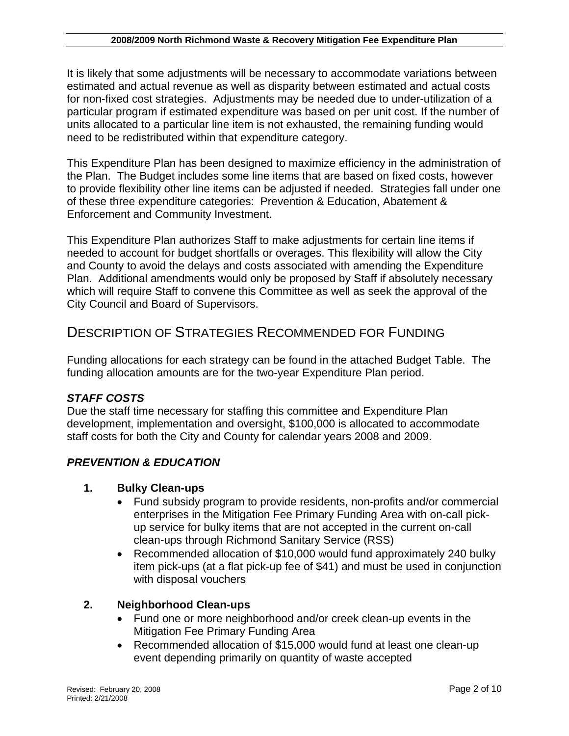It is likely that some adjustments will be necessary to accommodate variations between estimated and actual revenue as well as disparity between estimated and actual costs for non-fixed cost strategies. Adjustments may be needed due to under-utilization of a particular program if estimated expenditure was based on per unit cost. If the number of units allocated to a particular line item is not exhausted, the remaining funding would need to be redistributed within that expenditure category.

This Expenditure Plan has been designed to maximize efficiency in the administration of the Plan. The Budget includes some line items that are based on fixed costs, however to provide flexibility other line items can be adjusted if needed. Strategies fall under one of these three expenditure categories: Prevention & Education, Abatement & Enforcement and Community Investment.

This Expenditure Plan authorizes Staff to make adjustments for certain line items if needed to account for budget shortfalls or overages. This flexibility will allow the City and County to avoid the delays and costs associated with amending the Expenditure Plan. Additional amendments would only be proposed by Staff if absolutely necessary which will require Staff to convene this Committee as well as seek the approval of the City Council and Board of Supervisors.

### DESCRIPTION OF STRATEGIES RECOMMENDED FOR FUNDING

Funding allocations for each strategy can be found in the attached Budget Table. The funding allocation amounts are for the two-year Expenditure Plan period.

#### *STAFF COSTS*

Due the staff time necessary for staffing this committee and Expenditure Plan development, implementation and oversight, \$100,000 is allocated to accommodate staff costs for both the City and County for calendar years 2008 and 2009.

### *PREVENTION & EDUCATION*

#### **1. Bulky Clean-ups**

- Fund subsidy program to provide residents, non-profits and/or commercial enterprises in the Mitigation Fee Primary Funding Area with on-call pickup service for bulky items that are not accepted in the current on-call clean-ups through Richmond Sanitary Service (RSS)
- Recommended allocation of \$10,000 would fund approximately 240 bulky item pick-ups (at a flat pick-up fee of \$41) and must be used in conjunction with disposal vouchers

#### **2. Neighborhood Clean-ups**

- Fund one or more neighborhood and/or creek clean-up events in the Mitigation Fee Primary Funding Area
- Recommended allocation of \$15,000 would fund at least one clean-up event depending primarily on quantity of waste accepted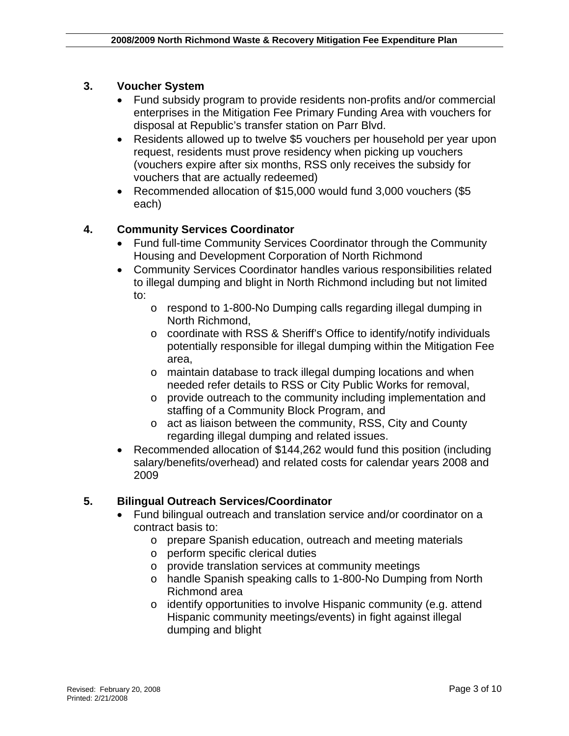#### **3. Voucher System**

- Fund subsidy program to provide residents non-profits and/or commercial enterprises in the Mitigation Fee Primary Funding Area with vouchers for disposal at Republic's transfer station on Parr Blvd.
- Residents allowed up to twelve \$5 vouchers per household per vear upon request, residents must prove residency when picking up vouchers (vouchers expire after six months, RSS only receives the subsidy for vouchers that are actually redeemed)
- Recommended allocation of \$15,000 would fund 3,000 vouchers (\$5 each)

#### **4. Community Services Coordinator**

- Fund full-time Community Services Coordinator through the Community Housing and Development Corporation of North Richmond
- Community Services Coordinator handles various responsibilities related to illegal dumping and blight in North Richmond including but not limited to:
	- o respond to 1-800-No Dumping calls regarding illegal dumping in North Richmond,
	- o coordinate with RSS & Sheriff's Office to identify/notify individuals potentially responsible for illegal dumping within the Mitigation Fee area,
	- o maintain database to track illegal dumping locations and when needed refer details to RSS or City Public Works for removal,
	- o provide outreach to the community including implementation and staffing of a Community Block Program, and
	- o act as liaison between the community, RSS, City and County regarding illegal dumping and related issues.
- Recommended allocation of \$144,262 would fund this position (including salary/benefits/overhead) and related costs for calendar years 2008 and 2009

#### **5. Bilingual Outreach Services/Coordinator**

- Fund bilingual outreach and translation service and/or coordinator on a contract basis to:
	- o prepare Spanish education, outreach and meeting materials
	- o perform specific clerical duties
	- o provide translation services at community meetings
	- o handle Spanish speaking calls to 1-800-No Dumping from North Richmond area
	- o identify opportunities to involve Hispanic community (e.g. attend Hispanic community meetings/events) in fight against illegal dumping and blight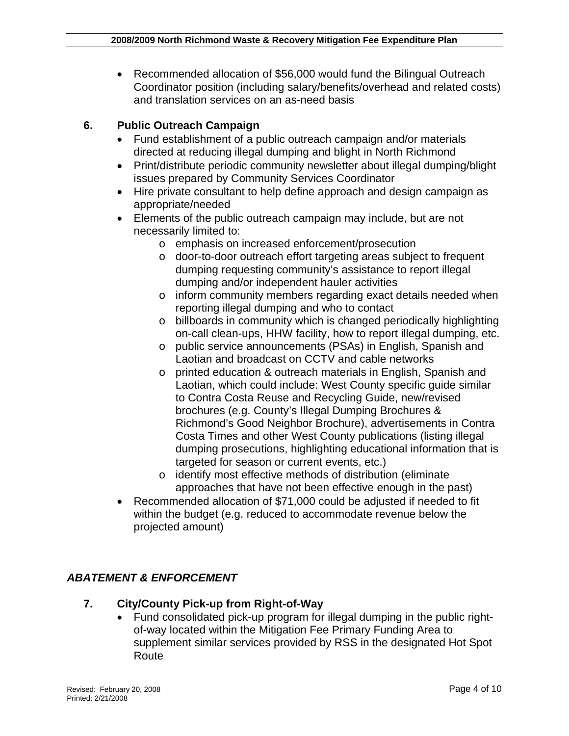• Recommended allocation of \$56,000 would fund the Bilingual Outreach Coordinator position (including salary/benefits/overhead and related costs) and translation services on an as-need basis

#### **6. Public Outreach Campaign**

- Fund establishment of a public outreach campaign and/or materials directed at reducing illegal dumping and blight in North Richmond
- Print/distribute periodic community newsletter about illegal dumping/blight issues prepared by Community Services Coordinator
- Hire private consultant to help define approach and design campaign as appropriate/needed
- Elements of the public outreach campaign may include, but are not necessarily limited to:
	- o emphasis on increased enforcement/prosecution
	- o door-to-door outreach effort targeting areas subject to frequent dumping requesting community's assistance to report illegal dumping and/or independent hauler activities
	- o inform community members regarding exact details needed when reporting illegal dumping and who to contact
	- o billboards in community which is changed periodically highlighting on-call clean-ups, HHW facility, how to report illegal dumping, etc.
	- o public service announcements (PSAs) in English, Spanish and Laotian and broadcast on CCTV and cable networks
	- o printed education & outreach materials in English, Spanish and Laotian, which could include: West County specific guide similar to Contra Costa Reuse and Recycling Guide, new/revised brochures (e.g. County's Illegal Dumping Brochures & Richmond's Good Neighbor Brochure), advertisements in Contra Costa Times and other West County publications (listing illegal dumping prosecutions, highlighting educational information that is targeted for season or current events, etc.)
	- o identify most effective methods of distribution (eliminate approaches that have not been effective enough in the past)
- Recommended allocation of \$71,000 could be adjusted if needed to fit within the budget (e.g. reduced to accommodate revenue below the projected amount)

#### *ABATEMENT & ENFORCEMENT*

#### **7. City/County Pick-up from Right-of-Way**

• Fund consolidated pick-up program for illegal dumping in the public rightof-way located within the Mitigation Fee Primary Funding Area to supplement similar services provided by RSS in the designated Hot Spot Route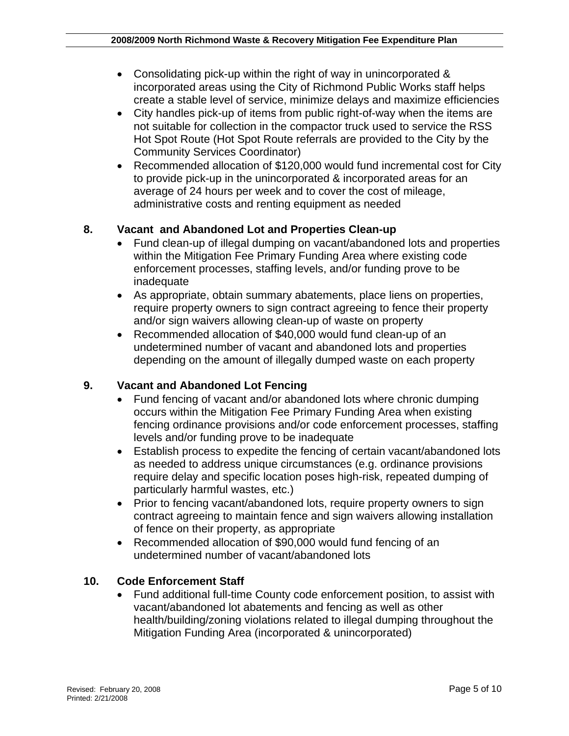- Consolidating pick-up within the right of way in unincorporated & incorporated areas using the City of Richmond Public Works staff helps create a stable level of service, minimize delays and maximize efficiencies
- City handles pick-up of items from public right-of-way when the items are not suitable for collection in the compactor truck used to service the RSS Hot Spot Route (Hot Spot Route referrals are provided to the City by the Community Services Coordinator)
- Recommended allocation of \$120,000 would fund incremental cost for City to provide pick-up in the unincorporated & incorporated areas for an average of 24 hours per week and to cover the cost of mileage, administrative costs and renting equipment as needed

#### **8. Vacant and Abandoned Lot and Properties Clean-up**

- Fund clean-up of illegal dumping on vacant/abandoned lots and properties within the Mitigation Fee Primary Funding Area where existing code enforcement processes, staffing levels, and/or funding prove to be inadequate
- As appropriate, obtain summary abatements, place liens on properties, require property owners to sign contract agreeing to fence their property and/or sign waivers allowing clean-up of waste on property
- Recommended allocation of \$40,000 would fund clean-up of an undetermined number of vacant and abandoned lots and properties depending on the amount of illegally dumped waste on each property

#### **9. Vacant and Abandoned Lot Fencing**

- Fund fencing of vacant and/or abandoned lots where chronic dumping occurs within the Mitigation Fee Primary Funding Area when existing fencing ordinance provisions and/or code enforcement processes, staffing levels and/or funding prove to be inadequate
- Establish process to expedite the fencing of certain vacant/abandoned lots as needed to address unique circumstances (e.g. ordinance provisions require delay and specific location poses high-risk, repeated dumping of particularly harmful wastes, etc.)
- Prior to fencing vacant/abandoned lots, require property owners to sign contract agreeing to maintain fence and sign waivers allowing installation of fence on their property, as appropriate
- Recommended allocation of \$90,000 would fund fencing of an undetermined number of vacant/abandoned lots

#### **10. Code Enforcement Staff**

• Fund additional full-time County code enforcement position, to assist with vacant/abandoned lot abatements and fencing as well as other health/building/zoning violations related to illegal dumping throughout the Mitigation Funding Area (incorporated & unincorporated)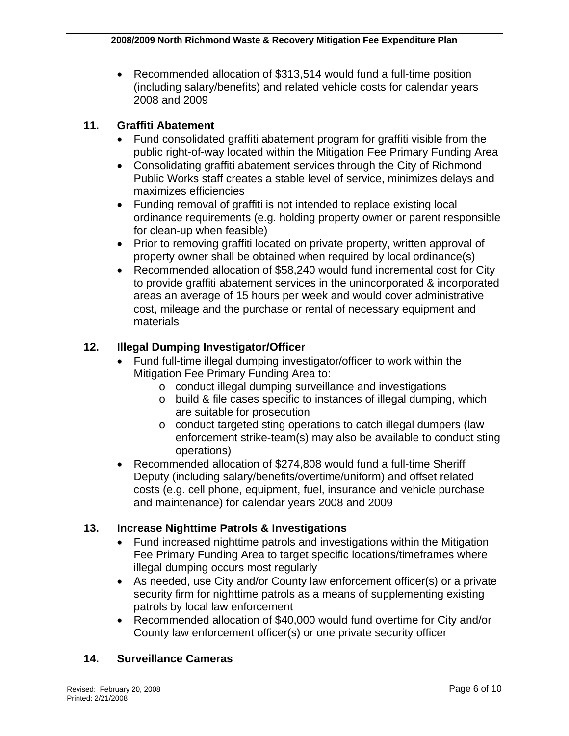• Recommended allocation of \$313,514 would fund a full-time position (including salary/benefits) and related vehicle costs for calendar years 2008 and 2009

#### **11. Graffiti Abatement**

- Fund consolidated graffiti abatement program for graffiti visible from the public right-of-way located within the Mitigation Fee Primary Funding Area
- Consolidating graffiti abatement services through the City of Richmond Public Works staff creates a stable level of service, minimizes delays and maximizes efficiencies
- Funding removal of graffiti is not intended to replace existing local ordinance requirements (e.g. holding property owner or parent responsible for clean-up when feasible)
- Prior to removing graffiti located on private property, written approval of property owner shall be obtained when required by local ordinance(s)
- Recommended allocation of \$58,240 would fund incremental cost for City to provide graffiti abatement services in the unincorporated & incorporated areas an average of 15 hours per week and would cover administrative cost, mileage and the purchase or rental of necessary equipment and materials

#### **12. Illegal Dumping Investigator/Officer**

- Fund full-time illegal dumping investigator/officer to work within the Mitigation Fee Primary Funding Area to:
	- o conduct illegal dumping surveillance and investigations
	- o build & file cases specific to instances of illegal dumping, which are suitable for prosecution
	- o conduct targeted sting operations to catch illegal dumpers (law enforcement strike-team(s) may also be available to conduct sting operations)
- Recommended allocation of \$274,808 would fund a full-time Sheriff Deputy (including salary/benefits/overtime/uniform) and offset related costs (e.g. cell phone, equipment, fuel, insurance and vehicle purchase and maintenance) for calendar years 2008 and 2009

#### **13. Increase Nighttime Patrols & Investigations**

- Fund increased nighttime patrols and investigations within the Mitigation Fee Primary Funding Area to target specific locations/timeframes where illegal dumping occurs most regularly
- As needed, use City and/or County law enforcement officer(s) or a private security firm for nighttime patrols as a means of supplementing existing patrols by local law enforcement
- Recommended allocation of \$40,000 would fund overtime for City and/or County law enforcement officer(s) or one private security officer

#### **14. Surveillance Cameras**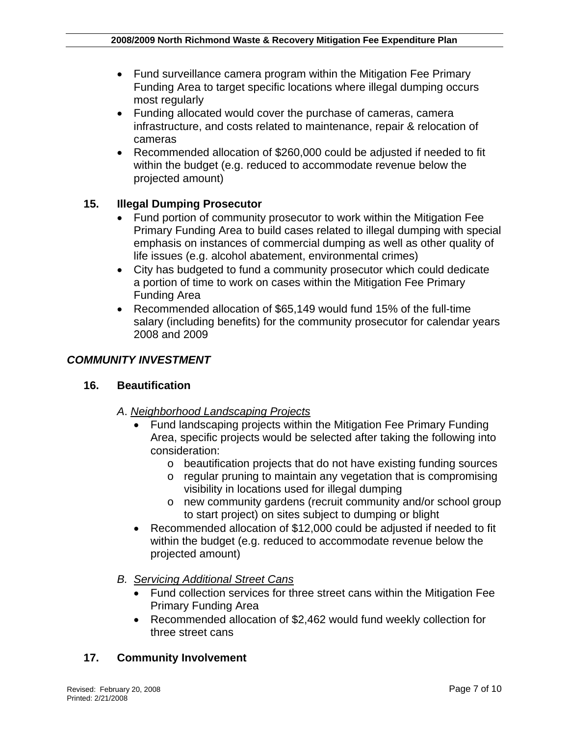- Fund surveillance camera program within the Mitigation Fee Primary Funding Area to target specific locations where illegal dumping occurs most regularly
- Funding allocated would cover the purchase of cameras, camera infrastructure, and costs related to maintenance, repair & relocation of cameras
- Recommended allocation of \$260,000 could be adjusted if needed to fit within the budget (e.g. reduced to accommodate revenue below the projected amount)

#### **15. Illegal Dumping Prosecutor**

- Fund portion of community prosecutor to work within the Mitigation Fee Primary Funding Area to build cases related to illegal dumping with special emphasis on instances of commercial dumping as well as other quality of life issues (e.g. alcohol abatement, environmental crimes)
- City has budgeted to fund a community prosecutor which could dedicate a portion of time to work on cases within the Mitigation Fee Primary Funding Area
- Recommended allocation of \$65,149 would fund 15% of the full-time salary (including benefits) for the community prosecutor for calendar years 2008 and 2009

#### *COMMUNITY INVESTMENT*

#### **16. Beautification**

- *A*. *Neighborhood Landscaping Projects*
	- Fund landscaping projects within the Mitigation Fee Primary Funding Area, specific projects would be selected after taking the following into consideration:
		- o beautification projects that do not have existing funding sources
		- o regular pruning to maintain any vegetation that is compromising visibility in locations used for illegal dumping
		- o new community gardens (recruit community and/or school group to start project) on sites subject to dumping or blight
	- Recommended allocation of \$12,000 could be adjusted if needed to fit within the budget (e.g. reduced to accommodate revenue below the projected amount)
- *B. Servicing Additional Street Cans*
	- Fund collection services for three street cans within the Mitigation Fee Primary Funding Area
	- Recommended allocation of \$2,462 would fund weekly collection for three street cans

#### **17. Community Involvement**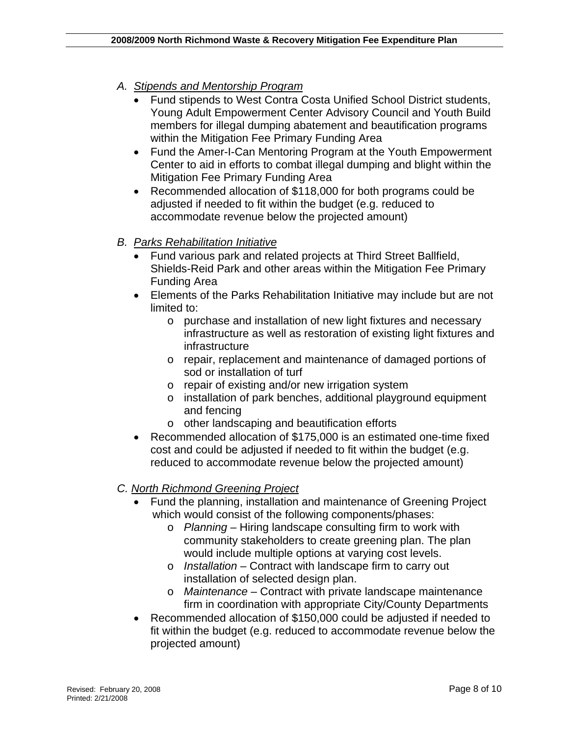### *A. Stipends and Mentorship Program*

- Fund stipends to West Contra Costa Unified School District students, Young Adult Empowerment Center Advisory Council and Youth Build members for illegal dumping abatement and beautification programs within the Mitigation Fee Primary Funding Area
- Fund the Amer-I-Can Mentoring Program at the Youth Empowerment Center to aid in efforts to combat illegal dumping and blight within the Mitigation Fee Primary Funding Area
- Recommended allocation of \$118,000 for both programs could be adjusted if needed to fit within the budget (e.g. reduced to accommodate revenue below the projected amount)

#### *B. Parks Rehabilitation Initiative*

- Fund various park and related projects at Third Street Ballfield, Shields-Reid Park and other areas within the Mitigation Fee Primary Funding Area
- Elements of the Parks Rehabilitation Initiative may include but are not limited to:
	- o purchase and installation of new light fixtures and necessary infrastructure as well as restoration of existing light fixtures and infrastructure
	- o repair, replacement and maintenance of damaged portions of sod or installation of turf
	- o repair of existing and/or new irrigation system
	- o installation of park benches, additional playground equipment and fencing
	- o other landscaping and beautification efforts
- Recommended allocation of \$175,000 is an estimated one-time fixed cost and could be adjusted if needed to fit within the budget (e.g. reduced to accommodate revenue below the projected amount)

### *C. North Richmond Greening Project*

- Fund the planning, installation and maintenance of Greening Project which would consist of the following components/phases:
	- o *Planning* Hiring landscape consulting firm to work with community stakeholders to create greening plan. The plan would include multiple options at varying cost levels.
	- o *Installation* Contract with landscape firm to carry out installation of selected design plan.
	- o *Maintenance* Contract with private landscape maintenance firm in coordination with appropriate City/County Departments
- Recommended allocation of \$150,000 could be adjusted if needed to fit within the budget (e.g. reduced to accommodate revenue below the projected amount)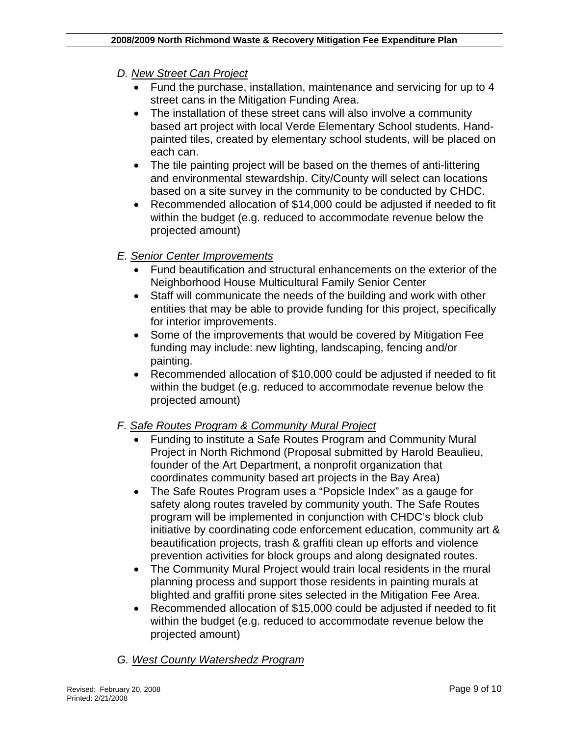#### *D. New Street Can Project*

- Fund the purchase, installation, maintenance and servicing for up to 4 street cans in the Mitigation Funding Area.
- The installation of these street cans will also involve a community based art project with local Verde Elementary School students. Handpainted tiles, created by elementary school students, will be placed on each can.
- The tile painting project will be based on the themes of anti-littering and environmental stewardship. City/County will select can locations based on a site survey in the community to be conducted by CHDC.
- Recommended allocation of \$14,000 could be adjusted if needed to fit within the budget (e.g. reduced to accommodate revenue below the projected amount)

#### *E. Senior Center Improvements*

- Fund beautification and structural enhancements on the exterior of the Neighborhood House Multicultural Family Senior Center
- Staff will communicate the needs of the building and work with other entities that may be able to provide funding for this project, specifically for interior improvements.
- Some of the improvements that would be covered by Mitigation Fee funding may include: new lighting, landscaping, fencing and/or painting.
- Recommended allocation of \$10,000 could be adjusted if needed to fit within the budget (e.g. reduced to accommodate revenue below the projected amount)

### *F. Safe Routes Program & Community Mural Project*

- Funding to institute a Safe Routes Program and Community Mural Project in North Richmond (Proposal submitted by Harold Beaulieu, founder of the Art Department, a nonprofit organization that coordinates community based art projects in the Bay Area)
- The Safe Routes Program uses a "Popsicle Index" as a gauge for safety along routes traveled by community youth. The Safe Routes program will be implemented in conjunction with CHDC's block club initiative by coordinating code enforcement education, community art & beautification projects, trash & graffiti clean up efforts and violence prevention activities for block groups and along designated routes.
- The Community Mural Project would train local residents in the mural planning process and support those residents in painting murals at blighted and graffiti prone sites selected in the Mitigation Fee Area.
- Recommended allocation of \$15,000 could be adjusted if needed to fit within the budget (e.g. reduced to accommodate revenue below the projected amount)

#### *G. West County Watershedz Program*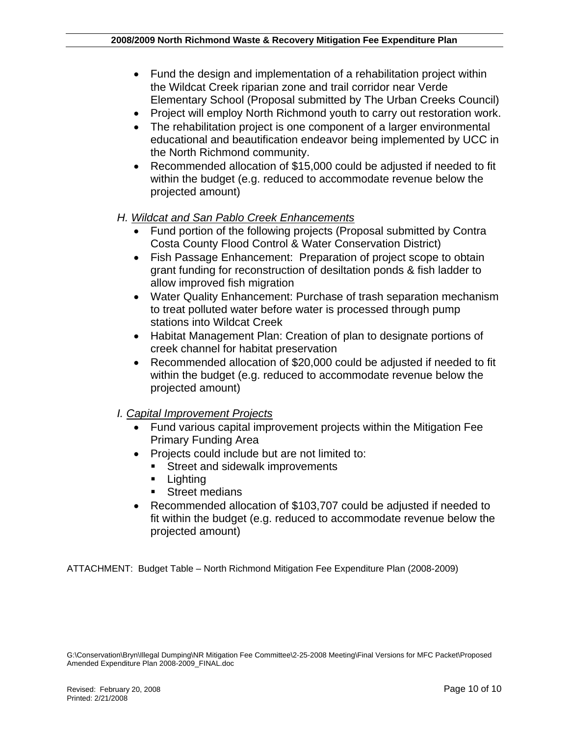- Fund the design and implementation of a rehabilitation project within the Wildcat Creek riparian zone and trail corridor near Verde Elementary School (Proposal submitted by The Urban Creeks Council)
- Project will employ North Richmond youth to carry out restoration work.
- The rehabilitation project is one component of a larger environmental educational and beautification endeavor being implemented by UCC in the North Richmond community.
- Recommended allocation of \$15,000 could be adjusted if needed to fit within the budget (e.g. reduced to accommodate revenue below the projected amount)
- *H. Wildcat and San Pablo Creek Enhancements* 
	- Fund portion of the following projects (Proposal submitted by Contra Costa County Flood Control & Water Conservation District)
	- Fish Passage Enhancement: Preparation of project scope to obtain grant funding for reconstruction of desiltation ponds & fish ladder to allow improved fish migration
	- Water Quality Enhancement: Purchase of trash separation mechanism to treat polluted water before water is processed through pump stations into Wildcat Creek
	- Habitat Management Plan: Creation of plan to designate portions of creek channel for habitat preservation
	- Recommended allocation of \$20,000 could be adjusted if needed to fit within the budget (e.g. reduced to accommodate revenue below the projected amount)
- *I. Capital Improvement Projects*
	- Fund various capital improvement projects within the Mitigation Fee Primary Funding Area
	- Projects could include but are not limited to:
		- **Street and sidewalk improvements**
		- **Lighting**
		- **Street medians**
	- Recommended allocation of \$103,707 could be adjusted if needed to fit within the budget (e.g. reduced to accommodate revenue below the projected amount)

ATTACHMENT: Budget Table – North Richmond Mitigation Fee Expenditure Plan (2008-2009)

G:\Conservation\Bryn\Illegal Dumping\NR Mitigation Fee Committee\2-25-2008 Meeting\Final Versions for MFC Packet\Proposed Amended Expenditure Plan 2008-2009\_FINAL.doc